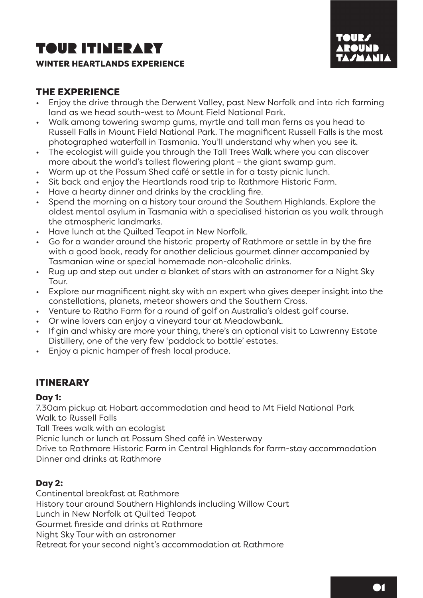# TOUR ITINERARY WINTER HEARTLANDS EXPERIENCE



# THE EXPERIENCE

- Enjoy the drive through the Derwent Valley, past New Norfolk and into rich farming land as we head south-west to Mount Field National Park.
- Walk among towering swamp gums, myrtle and tall man ferns as you head to Russell Falls in Mount Field National Park. The magnificent Russell Falls is the most photographed waterfall in Tasmania. You'll understand why when you see it.
- The ecologist will guide you through the Tall Trees Walk where you can discover more about the world's tallest flowering plant – the giant swamp gum.
- Warm up at the Possum Shed café or settle in for a tasty picnic lunch.
- Sit back and enjoy the Heartlands road trip to Rathmore Historic Farm.
- Have a hearty dinner and drinks by the crackling fire.
- Spend the morning on a history tour around the Southern Highlands. Explore the oldest mental asylum in Tasmania with a specialised historian as you walk through the atmospheric landmarks.
- Have lunch at the Quilted Teapot in New Norfolk.
- Go for a wander around the historic property of Rathmore or settle in by the fire with a good book, ready for another delicious gourmet dinner accompanied by Tasmanian wine or special homemade non-alcoholic drinks.
- Rug up and step out under a blanket of stars with an astronomer for a Night Sky Tour.
- Explore our magnificent night sky with an expert who gives deeper insight into the constellations, planets, meteor showers and the Southern Cross.
- Venture to Ratho Farm for a round of golf on Australia's oldest golf course.
- Or wine lovers can enjoy a vineyard tour at Meadowbank.
- If gin and whisky are more your thing, there's an optional visit to Lawrenny Estate Distillery, one of the very few 'paddock to bottle' estates.
- Enjoy a picnic hamper of fresh local produce.

# ITINERARY

# Day 1:

7.30am pickup at Hobart accommodation and head to Mt Field National Park Walk to Russell Falls

Tall Trees walk with an ecologist

Picnic lunch or lunch at Possum Shed café in Westerway

Drive to Rathmore Historic Farm in Central Highlands for farm-stay accommodation Dinner and drinks at Rathmore

# Day 2:

Continental breakfast at Rathmore History tour around Southern Highlands including Willow Court Lunch in New Norfolk at Quilted Teapot Gourmet fireside and drinks at Rathmore Night Sky Tour with an astronomer Retreat for your second night's accommodation at Rathmore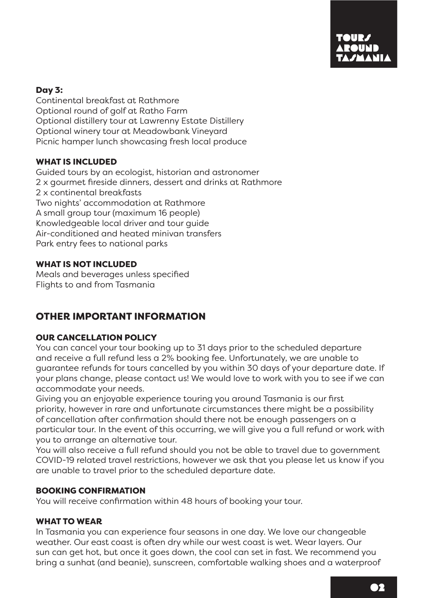

### Day 3:

Continental breakfast at Rathmore Optional round of golf at Ratho Farm Optional distillery tour at Lawrenny Estate Distillery Optional winery tour at Meadowbank Vineyard Picnic hamper lunch showcasing fresh local produce

### WHAT IS INCLUDED

Guided tours by an ecologist, historian and astronomer 2 x gourmet fireside dinners, dessert and drinks at Rathmore 2 x continental breakfasts Two nights' accommodation at Rathmore A small group tour (maximum 16 people) Knowledgeable local driver and tour guide Air-conditioned and heated minivan transfers Park entry fees to national parks

### WHAT IS NOT INCLUDED

Meals and beverages unless specified Flights to and from Tasmania

# OTHER IMPORTANT INFORMATION

### OUR CANCELLATION POLICY

You can cancel your tour booking up to 31 days prior to the scheduled departure and receive a full refund less a 2% booking fee. Unfortunately, we are unable to guarantee refunds for tours cancelled by you within 30 days of your departure date. If your plans change, please contact us! We would love to work with you to see if we can accommodate your needs.

Giving you an enjoyable experience touring you around Tasmania is our first priority, however in rare and unfortunate circumstances there might be a possibility of cancellation after confirmation should there not be enough passengers on a particular tour. In the event of this occurring, we will give you a full refund or work with you to arrange an alternative tour.

You will also receive a full refund should you not be able to travel due to government COVID-19 related travel restrictions, however we ask that you please let us know if you are unable to travel prior to the scheduled departure date.

### BOOKING CONFIRMATION

You will receive confirmation within 48 hours of booking your tour.

### WHAT TO WEAR

In Tasmania you can experience four seasons in one day. We love our changeable weather. Our east coast is often dry while our west coast is wet. Wear layers. Our sun can get hot, but once it goes down, the cool can set in fast. We recommend you bring a sunhat (and beanie), sunscreen, comfortable walking shoes and a waterproof